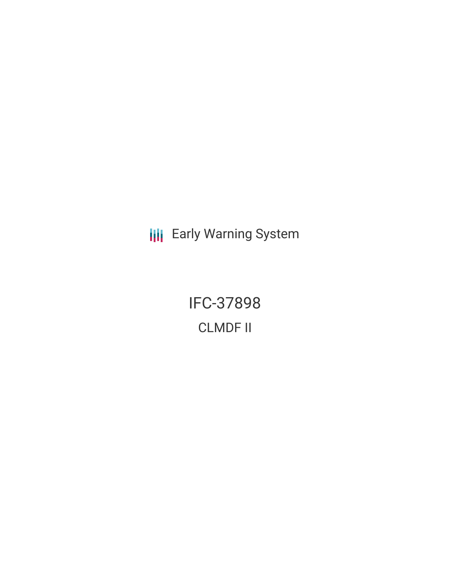**III** Early Warning System

IFC-37898 CLMDF II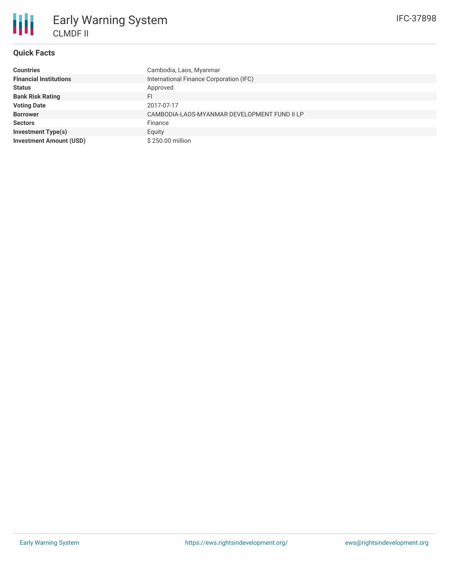# **Quick Facts**

| <b>Countries</b>               | Cambodia, Laos, Myanmar                      |
|--------------------------------|----------------------------------------------|
| <b>Financial Institutions</b>  | International Finance Corporation (IFC)      |
| <b>Status</b>                  | Approved                                     |
| <b>Bank Risk Rating</b>        | FI                                           |
| <b>Voting Date</b>             | 2017-07-17                                   |
| <b>Borrower</b>                | CAMBODIA-LAOS-MYANMAR DEVELOPMENT FUND II LP |
| <b>Sectors</b>                 | Finance                                      |
| <b>Investment Type(s)</b>      | Equity                                       |
| <b>Investment Amount (USD)</b> | \$250.00 million                             |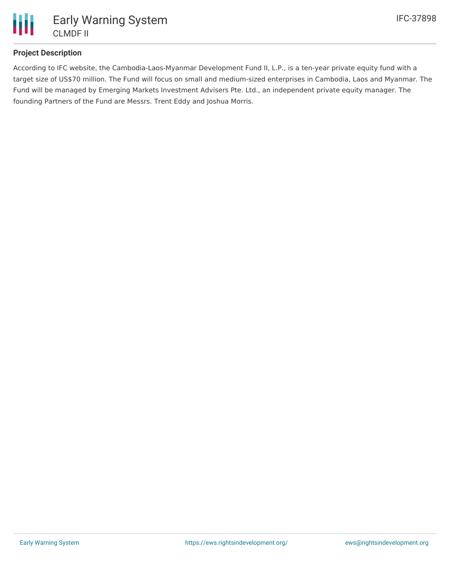

## **Project Description**

According to IFC website, the Cambodia-Laos-Myanmar Development Fund II, L.P., is a ten-year private equity fund with a target size of US\$70 million. The Fund will focus on small and medium-sized enterprises in Cambodia, Laos and Myanmar. The Fund will be managed by Emerging Markets Investment Advisers Pte. Ltd., an independent private equity manager. The founding Partners of the Fund are Messrs. Trent Eddy and Joshua Morris.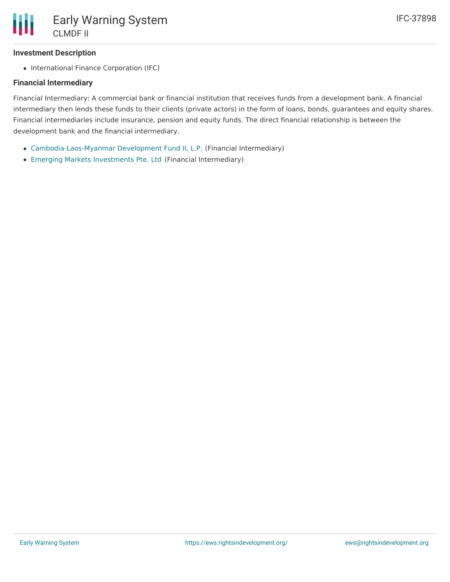## **Investment Description**

• International Finance Corporation (IFC)

#### **Financial Intermediary**

Financial Intermediary: A commercial bank or financial institution that receives funds from a development bank. A financial intermediary then lends these funds to their clients (private actors) in the form of loans, bonds, guarantees and equity shares. Financial intermediaries include insurance, pension and equity funds. The direct financial relationship is between the development bank and the financial intermediary.

- [Cambodia-Laos-Myanmar](file:///actor/937/) Development Fund II, L.P. (Financial Intermediary)
- Emerging Markets [Investments](file:///actor/938/) Pte. Ltd (Financial Intermediary)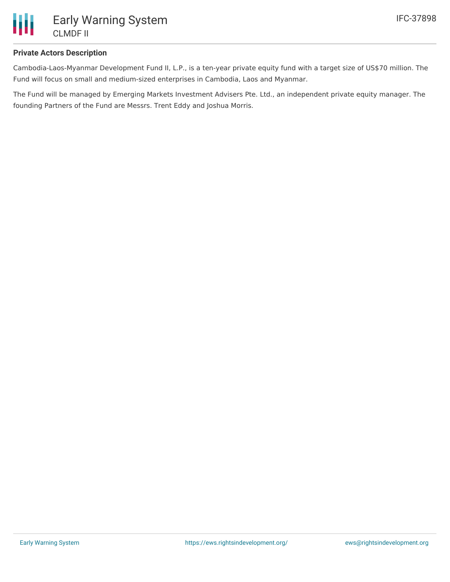

#### **Private Actors Description**

Cambodia-Laos-Myanmar Development Fund II, L.P., is a ten-year private equity fund with a target size of US\$70 million. The Fund will focus on small and medium-sized enterprises in Cambodia, Laos and Myanmar.

The Fund will be managed by Emerging Markets Investment Advisers Pte. Ltd., an independent private equity manager. The founding Partners of the Fund are Messrs. Trent Eddy and Joshua Morris.